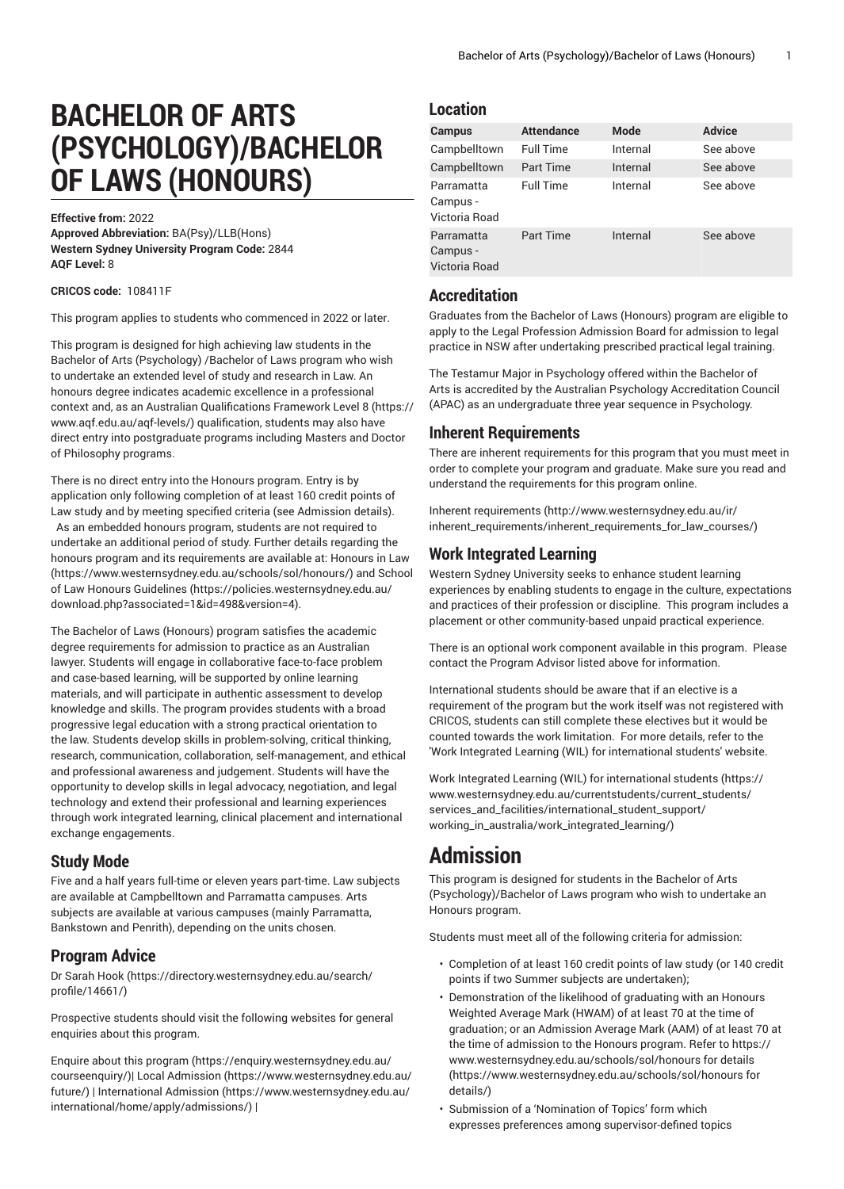# **BACHELOR OF ARTS (PSYCHOLOGY)/BACHELOR OF LAWS (HONOURS)**

**Effective from:** 2022

**Approved Abbreviation:** BA(Psy)/LLB(Hons) **Western Sydney University Program Code:** 2844 **AQF Level:** 8

**CRICOS code:** 108411F

This program applies to students who commenced in 2022 or later.

This program is designed for high achieving law students in the Bachelor of Arts (Psychology) /Bachelor of Laws program who wish to undertake an extended level of study and research in Law. An honours degree indicates academic excellence in a professional context and, as an Australian [Qualifications](https://www.aqf.edu.au/aqf-levels/) Framework Level 8 ([https://](https://www.aqf.edu.au/aqf-levels/) [www.aqf.edu.au/aqf-levels/](https://www.aqf.edu.au/aqf-levels/)) qualification, students may also have direct entry into postgraduate programs including Masters and Doctor of Philosophy programs.

There is no direct entry into the Honours program. Entry is by application only following completion of at least 160 credit points of Law study and by meeting specified criteria (see Admission details). As an embedded honours program, students are not required to undertake an additional period of study. Further details regarding the honours program and its requirements are available at: [Honours in Law](https://www.westernsydney.edu.au/schools/sol/honours/) ([https://www.westernsydney.edu.au/schools/sol/honours/\)](https://www.westernsydney.edu.au/schools/sol/honours/) and [School](https://policies.westernsydney.edu.au/download.php?associated=1&id=498&version=4) [of Law Honours Guidelines \(https://policies.westernsydney.edu.au/](https://policies.westernsydney.edu.au/download.php?associated=1&id=498&version=4) [download.php?associated=1&id=498&version=4\)](https://policies.westernsydney.edu.au/download.php?associated=1&id=498&version=4).

The Bachelor of Laws (Honours) program satisfies the academic degree requirements for admission to practice as an Australian lawyer. Students will engage in collaborative face-to-face problem and case-based learning, will be supported by online learning materials, and will participate in authentic assessment to develop knowledge and skills. The program provides students with a broad progressive legal education with a strong practical orientation to the law. Students develop skills in problem-solving, critical thinking, research, communication, collaboration, self-management, and ethical and professional awareness and judgement. Students will have the opportunity to develop skills in legal advocacy, negotiation, and legal technology and extend their professional and learning experiences through work integrated learning, clinical placement and international exchange engagements.

# **Study Mode**

Five and a half years full-time or eleven years part-time. Law subjects are available at Campbelltown and Parramatta campuses. Arts subjects are available at various campuses (mainly Parramatta, Bankstown and Penrith), depending on the units chosen.

# **Program Advice**

[Dr Sarah Hook](https://directory.westernsydney.edu.au/search/profile/14661/) ([https://directory.westernsydney.edu.au/search/](https://directory.westernsydney.edu.au/search/profile/14661/) [profile/14661/\)](https://directory.westernsydney.edu.au/search/profile/14661/)

Prospective students should visit the following websites for general enquiries about this program.

Enquire about this [program \(https://enquiry.westernsydney.edu.au/](https://enquiry.westernsydney.edu.au/courseenquiry/) [courseenquiry/](https://enquiry.westernsydney.edu.au/courseenquiry/))| [Local Admission \(https://www.westernsydney.edu.au/](https://www.westernsydney.edu.au/future/) [future/\)](https://www.westernsydney.edu.au/future/) | [International Admission](https://www.westernsydney.edu.au/international/home/apply/admissions/) ([https://www.westernsydney.edu.au/](https://www.westernsydney.edu.au/international/home/apply/admissions/) [international/home/apply/admissions/](https://www.westernsydney.edu.au/international/home/apply/admissions/)) |

### **Location**

| Campus                                  | <b>Attendance</b> | <b>Mode</b> | <b>Advice</b> |
|-----------------------------------------|-------------------|-------------|---------------|
| Campbelltown                            | <b>Full Time</b>  | Internal    | See above     |
| Campbelltown                            | <b>Part Time</b>  | Internal    | See above     |
| Parramatta<br>Campus -<br>Victoria Road | <b>Full Time</b>  | Internal    | See above     |
| Parramatta<br>Campus -<br>Victoria Road | <b>Part Time</b>  | Internal    | See above     |

# **Accreditation**

Graduates from the Bachelor of Laws (Honours) program are eligible to apply to the Legal Profession Admission Board for admission to legal practice in NSW after undertaking prescribed practical legal training.

The Testamur Major in Psychology offered within the Bachelor of Arts is accredited by the Australian Psychology Accreditation Council (APAC) as an undergraduate three year sequence in Psychology.

# **Inherent Requirements**

There are inherent requirements for this program that you must meet in order to complete your program and graduate. Make sure you read and understand the requirements for this program online.

Inherent [requirements \(http://www.westernsydney.edu.au/ir/](http://www.westernsydney.edu.au/ir/inherent_requirements/inherent_requirements_for_law_courses/) [inherent\\_requirements/inherent\\_requirements\\_for\\_law\\_courses/](http://www.westernsydney.edu.au/ir/inherent_requirements/inherent_requirements_for_law_courses/))

# **Work Integrated Learning**

Western Sydney University seeks to enhance student learning experiences by enabling students to engage in the culture, expectations and practices of their profession or discipline. This program includes a placement or other community-based unpaid practical experience.

There is an optional work component available in this program. Please contact the Program Advisor listed above for information.

International students should be aware that if an elective is a requirement of the program but the work itself was not registered with CRICOS, students can still complete these electives but it would be counted towards the work limitation. For more details, refer to the 'Work Integrated Learning (WIL) for international students' website.

Work Integrated Learning (WIL) for [international](https://www.westernsydney.edu.au/currentstudents/current_students/services_and_facilities/international_student_support/working_in_australia/work_integrated_learning/) students ([https://](https://www.westernsydney.edu.au/currentstudents/current_students/services_and_facilities/international_student_support/working_in_australia/work_integrated_learning/) [www.westernsydney.edu.au/currentstudents/current\\_students/](https://www.westernsydney.edu.au/currentstudents/current_students/services_and_facilities/international_student_support/working_in_australia/work_integrated_learning/) [services\\_and\\_facilities/international\\_student\\_support/](https://www.westernsydney.edu.au/currentstudents/current_students/services_and_facilities/international_student_support/working_in_australia/work_integrated_learning/) [working\\_in\\_australia/work\\_integrated\\_learning/](https://www.westernsydney.edu.au/currentstudents/current_students/services_and_facilities/international_student_support/working_in_australia/work_integrated_learning/))

# **Admission**

This program is designed for students in the Bachelor of Arts (Psychology)/Bachelor of Laws program who wish to undertake an Honours program.

Students must meet all of the following criteria for admission:

- Completion of at least 160 credit points of law study (or 140 credit points if two Summer subjects are undertaken);
- Demonstration of the likelihood of graduating with an Honours Weighted Average Mark (HWAM) of at least 70 at the time of graduation; or an Admission Average Mark (AAM) of at least 70 at the time of admission to the Honours program. Refer to [https://](https://www.westernsydney.edu.au/schools/sol/honours for details/) [www.westernsydney.edu.au/schools/sol/honours](https://www.westernsydney.edu.au/schools/sol/honours for details/) for details ([https://www.westernsydney.edu.au/schools/sol/honours](https://www.westernsydney.edu.au/schools/sol/honours for details/) for [details/\)](https://www.westernsydney.edu.au/schools/sol/honours for details/)
- Submission of a 'Nomination of Topics' form which expresses preferences among supervisor-defined topics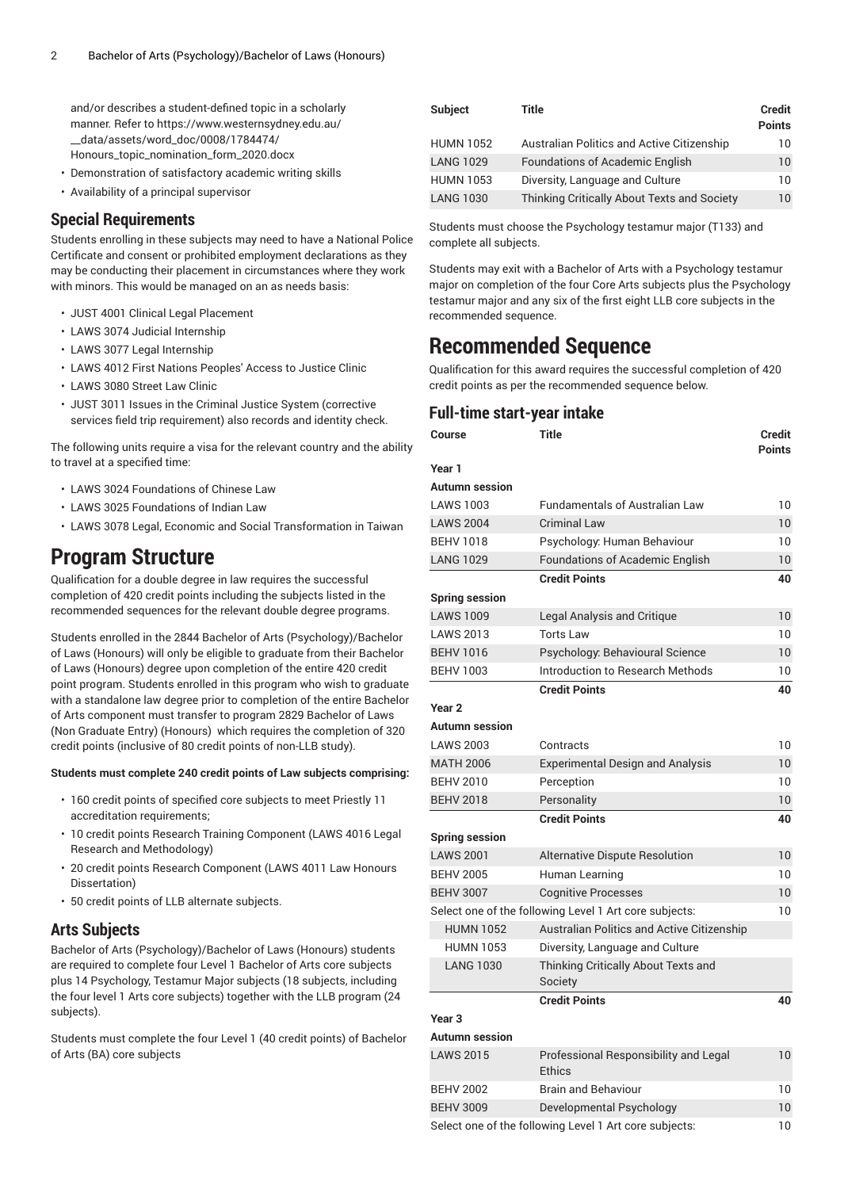and/or describes a student-defined topic in a scholarly manner. Refer to [https://www.westernsydney.edu.au/](https://www.westernsydney.edu.au/__data/assets/word_doc/0008/1784474/Honours_topic_nomination_form_2020.docx) [\\_\\_data/assets/word\\_doc/0008/1784474/](https://www.westernsydney.edu.au/__data/assets/word_doc/0008/1784474/Honours_topic_nomination_form_2020.docx) [Honours\\_topic\\_nomination\\_form\\_2020.docx](https://www.westernsydney.edu.au/__data/assets/word_doc/0008/1784474/Honours_topic_nomination_form_2020.docx)

- Demonstration of satisfactory academic writing skills
- Availability of a principal supervisor

#### **Special Requirements**

Students enrolling in these subjects may need to have a National Police Certificate and consent or prohibited employment declarations as they may be conducting their placement in circumstances where they work with minors. This would be managed on an as needs basis:

- [JUST 4001](/search/?P=JUST%204001) Clinical Legal Placement
- [LAWS](/search/?P=LAWS%203074) 3074 Judicial Internship
- [LAWS](/search/?P=LAWS%203077) 3077 Legal Internship
- [LAWS](/search/?P=LAWS%204012) 4012 First Nations Peoples' Access to Justice Clinic
- [LAWS](/search/?P=LAWS%203080) 3080 Street Law Clinic
- [JUST 3011](/search/?P=JUST%203011) Issues in the Criminal Justice System (corrective services field trip requirement) also records and identity check.

The following units require a visa for the relevant country and the ability to travel at a specified time:

- [LAWS](/search/?P=LAWS%203024) 3024 Foundations of Chinese Law
- [LAWS](/search/?P=LAWS%203025) 3025 Foundations of Indian Law
- [LAWS](/search/?P=LAWS%203078) 3078 Legal, Economic and Social Transformation in Taiwan

# **Program Structure**

Qualification for a double degree in law requires the successful completion of 420 credit points including the subjects listed in the recommended sequences for the relevant double degree programs.

Students enrolled in the 2844 Bachelor of Arts (Psychology)/Bachelor of Laws (Honours) will only be eligible to graduate from their Bachelor of Laws (Honours) degree upon completion of the entire 420 credit point program. Students enrolled in this program who wish to graduate with a standalone law degree prior to completion of the entire Bachelor of Arts component must transfer to program 2829 Bachelor of Laws (Non Graduate Entry) (Honours) which requires the completion of 320 credit points (inclusive of 80 credit points of non-LLB study).

#### **Students must complete 240 credit points of Law subjects comprising:**

- 160 credit points of specified core subjects to meet Priestly 11 accreditation requirements;
- 10 credit points Research Training Component (LAWS 4016 Legal Research and Methodology)
- 20 credit points Research Component (LAWS 4011 Law Honours Dissertation)
- 50 credit points of LLB alternate subjects.

# **Arts Subjects**

Bachelor of Arts (Psychology)/Bachelor of Laws (Honours) students are required to complete four Level 1 Bachelor of Arts core subjects plus 14 Psychology, Testamur Major subjects (18 subjects, including the four level 1 Arts core subjects) together with the LLB program (24 subjects).

Students must complete the four Level 1 (40 credit points) of Bachelor of Arts (BA) core subjects

| <b>Subject</b>   | Title                                       | Credit<br><b>Points</b> |
|------------------|---------------------------------------------|-------------------------|
| <b>HUMN 1052</b> | Australian Politics and Active Citizenship  | 10                      |
| <b>LANG 1029</b> | <b>Foundations of Academic English</b>      | 10                      |
| <b>HUMN 1053</b> | Diversity, Language and Culture             | 10                      |
| <b>LANG 1030</b> | Thinking Critically About Texts and Society | 10                      |

Students must choose the Psychology testamur major (T133) and complete all subjects.

Students may exit with a Bachelor of Arts with a Psychology testamur major on completion of the four Core Arts subjects plus the Psychology testamur major and any six of the first eight LLB core subjects in the recommended sequence.

# **Recommended Sequence**

Qualification for this award requires the successful completion of 420 credit points as per the recommended sequence below.

# **Full-time start-year intake**

| Course                | Title                                                  | Credit<br><b>Points</b> |
|-----------------------|--------------------------------------------------------|-------------------------|
| Year 1                |                                                        |                         |
| <b>Autumn session</b> |                                                        |                         |
| <b>LAWS 1003</b>      | <b>Fundamentals of Australian Law</b>                  | 10                      |
| <b>LAWS 2004</b>      | <b>Criminal Law</b>                                    | 10                      |
| <b>BEHV 1018</b>      | Psychology: Human Behaviour                            | 10                      |
| <b>LANG 1029</b>      | Foundations of Academic English                        | 10                      |
|                       | <b>Credit Points</b>                                   | 40                      |
| <b>Spring session</b> |                                                        |                         |
| <b>LAWS 1009</b>      | Legal Analysis and Critique                            | 10                      |
| <b>LAWS 2013</b>      | <b>Torts Law</b>                                       | 10                      |
| <b>BEHV 1016</b>      | Psychology: Behavioural Science                        | 10                      |
| <b>BEHV 1003</b>      | Introduction to Research Methods                       | 10                      |
|                       | <b>Credit Points</b>                                   | 40                      |
| Year <sub>2</sub>     |                                                        |                         |
| <b>Autumn session</b> |                                                        |                         |
| <b>LAWS 2003</b>      | Contracts                                              | 10                      |
| <b>MATH 2006</b>      | <b>Experimental Design and Analysis</b>                | 10                      |
| <b>BEHV 2010</b>      | Perception                                             | 10                      |
| <b>BEHV 2018</b>      | Personality                                            | 10                      |
|                       | <b>Credit Points</b>                                   | 40                      |
| <b>Spring session</b> |                                                        |                         |
| <b>LAWS 2001</b>      | Alternative Dispute Resolution                         | 10                      |
| <b>BEHV 2005</b>      | Human Learning                                         | 10                      |
| <b>BEHV 3007</b>      | <b>Cognitive Processes</b>                             | 10                      |
|                       | Select one of the following Level 1 Art core subjects: | 10                      |
| <b>HUMN 1052</b>      | <b>Australian Politics and Active Citizenship</b>      |                         |
| <b>HUMN 1053</b>      | Diversity, Language and Culture                        |                         |
| <b>LANG 1030</b>      | Thinking Critically About Texts and<br>Society         |                         |
|                       | <b>Credit Points</b>                                   | 40                      |
| Year <sub>3</sub>     |                                                        |                         |
| Autumn session        |                                                        |                         |
| <b>LAWS 2015</b>      | Professional Responsibility and Legal<br>Ethics        | 10                      |
| <b>BEHV 2002</b>      | <b>Brain and Behaviour</b>                             | 10                      |
| <b>BEHV 3009</b>      | Developmental Psychology                               | 10                      |
|                       | Select one of the following Level 1 Art core subjects: | 10                      |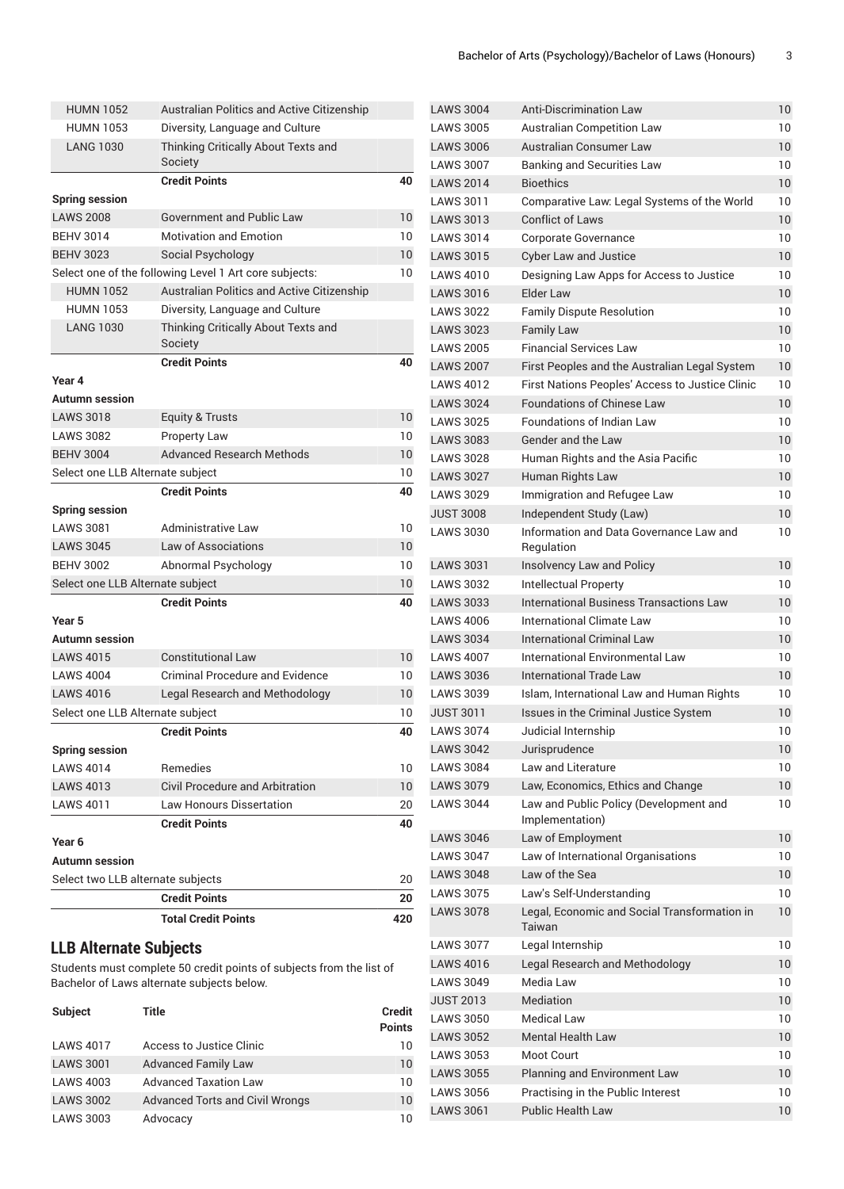|                                   | <b>Total Credit Points</b>                             | 420 |
|-----------------------------------|--------------------------------------------------------|-----|
|                                   | <b>Credit Points</b>                                   | 20  |
| Select two LLB alternate subjects |                                                        | 20  |
| <b>Autumn</b> session             |                                                        |     |
| Year 6                            |                                                        |     |
|                                   | <b>Credit Points</b>                                   | 40  |
| <b>LAWS 4011</b>                  | Law Honours Dissertation                               | 20  |
| <b>LAWS 4013</b>                  | Civil Procedure and Arbitration                        | 10  |
| <b>LAWS 4014</b>                  | Remedies                                               | 10  |
| <b>Spring session</b>             |                                                        |     |
|                                   | <b>Credit Points</b>                                   | 40  |
| Select one LLB Alternate subject  |                                                        | 10  |
| <b>LAWS 4016</b>                  | Legal Research and Methodology                         | 10  |
| <b>LAWS 4004</b>                  | <b>Criminal Procedure and Evidence</b>                 | 10  |
| <b>LAWS 4015</b>                  | <b>Constitutional Law</b>                              | 10  |
| <b>Autumn session</b>             |                                                        |     |
| Year 5                            |                                                        |     |
|                                   | <b>Credit Points</b>                                   | 40  |
| Select one LLB Alternate subject  |                                                        | 10  |
| <b>BEHV 3002</b>                  | Abnormal Psychology                                    | 10  |
| <b>LAWS 3045</b>                  | Law of Associations                                    | 10  |
| <b>LAWS 3081</b>                  | Administrative Law                                     | 10  |
| <b>Spring session</b>             |                                                        |     |
|                                   | <b>Credit Points</b>                                   | 40  |
| Select one LLB Alternate subject  |                                                        | 10  |
| <b>BEHV 3004</b>                  | <b>Advanced Research Methods</b>                       | 10  |
| <b>LAWS 3082</b>                  | <b>Property Law</b>                                    | 10  |
| <b>LAWS 3018</b>                  | <b>Equity &amp; Trusts</b>                             | 10  |
| <b>Autumn</b> session             |                                                        |     |
| Year 4                            |                                                        |     |
|                                   | <b>Credit Points</b>                                   | 40  |
|                                   | Society                                                |     |
| <b>LANG 1030</b>                  | Thinking Critically About Texts and                    |     |
| <b>HUMN 1053</b>                  | Diversity, Language and Culture                        |     |
| <b>HUMN 1052</b>                  | Australian Politics and Active Citizenship             |     |
|                                   | Select one of the following Level 1 Art core subjects: | 10  |
| <b>BEHV 3023</b>                  | Social Psychology                                      | 10  |
| <b>BEHV 3014</b>                  | <b>Motivation and Emotion</b>                          | 10  |
| <b>LAWS 2008</b>                  | <b>Government and Public Law</b>                       | 10  |
| <b>Spring session</b>             |                                                        |     |
|                                   | <b>Credit Points</b>                                   | 40  |
|                                   | Society                                                |     |
| <b>LANG 1030</b>                  | Thinking Critically About Texts and                    |     |
| <b>HUMN 1053</b>                  | Diversity, Language and Culture                        |     |
| <b>HUMN 1052</b>                  | Australian Politics and Active Citizenship             |     |

# **LLB Alternate Subjects**

Students must complete 50 credit points of subjects from the list of Bachelor of Laws alternate subjects below.

| <b>Subject</b>   | Title                                  | <b>Credit</b><br><b>Points</b> |
|------------------|----------------------------------------|--------------------------------|
| <b>LAWS 4017</b> | Access to Justice Clinic               | 10                             |
| <b>LAWS 3001</b> | <b>Advanced Family Law</b>             | 10                             |
| <b>LAWS 4003</b> | <b>Advanced Taxation Law</b>           | 10                             |
| <b>LAWS 3002</b> | <b>Advanced Torts and Civil Wrongs</b> | 10                             |
| <b>LAWS 3003</b> | Advocacy                               | 10                             |

| <b>LAWS 3004</b> | <b>Anti-Discrimination Law</b>                            | 10              |
|------------------|-----------------------------------------------------------|-----------------|
| <b>LAWS 3005</b> | Australian Competition Law                                | 10              |
| <b>LAWS 3006</b> | <b>Australian Consumer Law</b>                            | 10              |
| <b>LAWS 3007</b> | <b>Banking and Securities Law</b>                         | 10              |
| <b>LAWS 2014</b> | <b>Bioethics</b>                                          | 10              |
| <b>LAWS 3011</b> | Comparative Law: Legal Systems of the World               | 10              |
| <b>LAWS 3013</b> | <b>Conflict of Laws</b>                                   | 10              |
| <b>LAWS 3014</b> | <b>Corporate Governance</b>                               | 10              |
| <b>LAWS 3015</b> | <b>Cyber Law and Justice</b>                              | 10              |
| <b>LAWS 4010</b> | Designing Law Apps for Access to Justice                  | 10              |
| <b>LAWS 3016</b> | Flder Law                                                 | 10              |
| <b>LAWS 3022</b> | <b>Family Dispute Resolution</b>                          | 10              |
| <b>LAWS 3023</b> | <b>Family Law</b>                                         | 10              |
| <b>LAWS 2005</b> | <b>Financial Services Law</b>                             | 10              |
| <b>LAWS 2007</b> | First Peoples and the Australian Legal System             | 10              |
| <b>LAWS 4012</b> | First Nations Peoples' Access to Justice Clinic           | 10              |
| <b>LAWS 3024</b> | Foundations of Chinese Law                                | 10              |
| <b>LAWS 3025</b> | <b>Foundations of Indian Law</b>                          | 10              |
| <b>LAWS 3083</b> | Gender and the Law                                        | 10 <sup>°</sup> |
| <b>LAWS 3028</b> | Human Rights and the Asia Pacific                         | 10              |
| <b>LAWS 3027</b> | Human Rights Law                                          | 10              |
| <b>LAWS 3029</b> | Immigration and Refugee Law                               | 10              |
| <b>JUST 3008</b> | Independent Study (Law)                                   | 10              |
| <b>LAWS 3030</b> | Information and Data Governance Law and                   | 10              |
|                  | Regulation                                                |                 |
| <b>LAWS 3031</b> | Insolvency Law and Policy                                 | 10              |
| <b>LAWS 3032</b> | <b>Intellectual Property</b>                              | 10              |
| <b>LAWS 3033</b> | <b>International Business Transactions Law</b>            | 10              |
| <b>LAWS 4006</b> | International Climate Law                                 | 10              |
| <b>LAWS 3034</b> | <b>International Criminal Law</b>                         | 10              |
| <b>LAWS 4007</b> | International Environmental Law                           | 10              |
| <b>LAWS 3036</b> | International Trade Law                                   | 10              |
| <b>LAWS 3039</b> | Islam, International Law and Human Rights                 | 10              |
| <b>JUST 3011</b> | Issues in the Criminal Justice System                     | 10              |
| <b>LAWS 3074</b> | Judicial Internship                                       | 10              |
| <b>LAWS 3042</b> | Jurisprudence                                             | 10              |
| <b>LAWS 3084</b> | <b>Law and Literature</b>                                 | 10              |
| <b>LAWS 3079</b> | Law, Economics, Ethics and Change                         | 10 <sup>°</sup> |
| <b>LAWS 3044</b> | Law and Public Policy (Development and<br>Implementation) | 10              |
| <b>LAWS 3046</b> | Law of Employment                                         | 10 <sup>°</sup> |
| <b>LAWS 3047</b> | Law of International Organisations                        | 10              |
| <b>LAWS 3048</b> | Law of the Sea                                            | 10              |
| <b>LAWS 3075</b> | Law's Self-Understanding                                  | 10              |
| <b>LAWS 3078</b> | Legal, Economic and Social Transformation in<br>Taiwan    | 10              |
| <b>LAWS 3077</b> | Legal Internship                                          | 10              |
| <b>LAWS 4016</b> | Legal Research and Methodology                            | 10              |
| <b>LAWS 3049</b> | Media Law                                                 | 10              |
| <b>JUST 2013</b> | Mediation                                                 | 10              |
| <b>LAWS 3050</b> | <b>Medical Law</b>                                        | 10              |
| <b>LAWS 3052</b> | <b>Mental Health Law</b>                                  | 10              |
| <b>LAWS 3053</b> | <b>Moot Court</b>                                         | 10              |
| <b>LAWS 3055</b> | Planning and Environment Law                              | 10              |
| <b>LAWS 3056</b> | Practising in the Public Interest                         | 10              |
| <b>LAWS 3061</b> | <b>Public Health Law</b>                                  | 10              |
|                  |                                                           |                 |